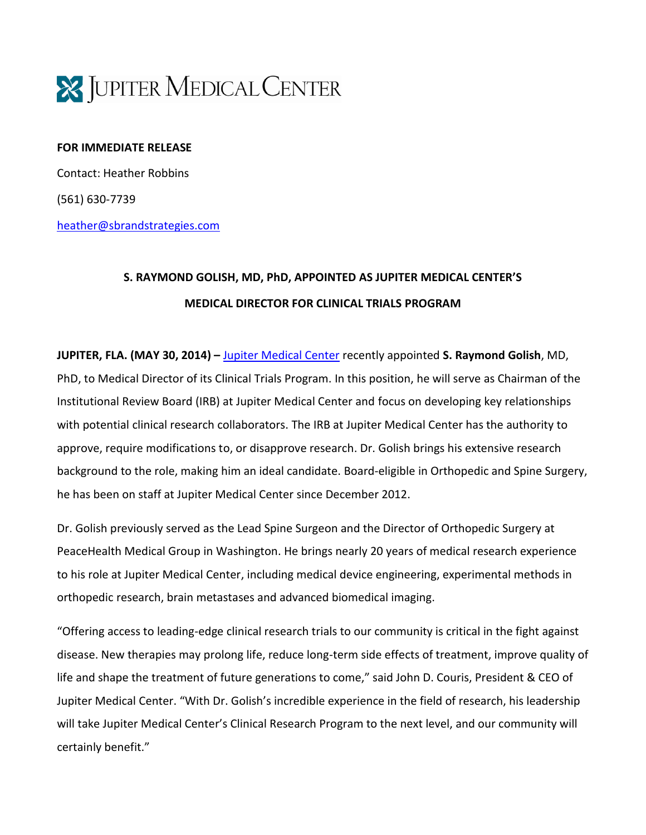

## **FOR IMMEDIATE RELEASE**

Contact: Heather Robbins (561) 630-7739 [heather@sbrandstrategies.com](mailto:heather@sbrandstrategies.com)

## **S. RAYMOND GOLISH, MD, PhD, APPOINTED AS JUPITER MEDICAL CENTER'S MEDICAL DIRECTOR FOR CLINICAL TRIALS PROGRAM**

**JUPITER, FLA. (MAY 30, 2014) –** [Jupiter Medical Center](http://www.jupitermed.com/) recently appointed **S. Raymond Golish**, MD, PhD, to Medical Director of its Clinical Trials Program. In this position, he will serve as Chairman of the Institutional Review Board (IRB) at Jupiter Medical Center and focus on developing key relationships with potential clinical research collaborators. The IRB at Jupiter Medical Center has the authority to approve, require modifications to, or disapprove research. Dr. Golish brings his extensive research background to the role, making him an ideal candidate. Board-eligible in Orthopedic and Spine Surgery, he has been on staff at Jupiter Medical Center since December 2012.

Dr. Golish previously served as the Lead Spine Surgeon and the Director of Orthopedic Surgery at PeaceHealth Medical Group in Washington. He brings nearly 20 years of medical research experience to his role at Jupiter Medical Center, including medical device engineering, experimental methods in orthopedic research, brain metastases and advanced biomedical imaging.

"Offering access to leading-edge clinical research trials to our community is critical in the fight against disease. New therapies may prolong life, reduce long-term side effects of treatment, improve quality of life and shape the treatment of future generations to come," said John D. Couris, President & CEO of Jupiter Medical Center. "With Dr. Golish's incredible experience in the field of research, his leadership will take Jupiter Medical Center's Clinical Research Program to the next level, and our community will certainly benefit."